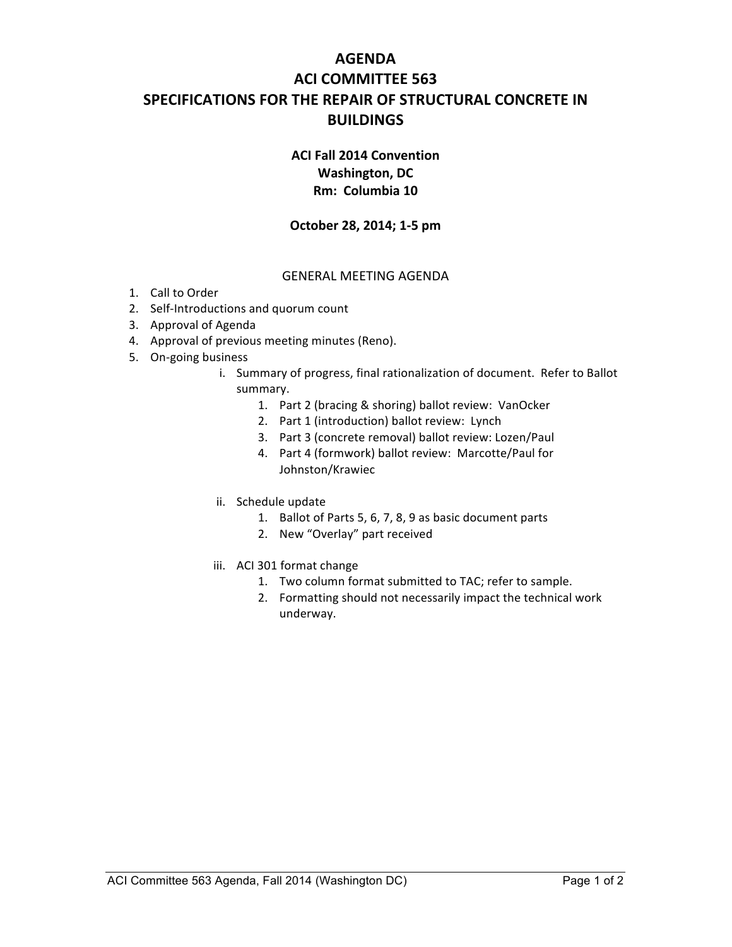# **AGENDA ACI COMMITTEE 563 SPECIFICATIONS FOR THE REPAIR OF STRUCTURAL CONCRETE IN BUILDINGS**

## **ACI Fall 2014 Convention Washington, DC Rm: Columbia 10**

#### **October 28, 2014; 1-5 pm**

#### **GENERAL MEETING AGENDA**

- 1. Call to Order
- 2. Self-Introductions and quorum count
- 3. Approval of Agenda
- 4. Approval of previous meeting minutes (Reno).
- 5. On-going business
	- i. Summary of progress, final rationalization of document. Refer to Ballot summary.
		- 1. Part 2 (bracing & shoring) ballot review: VanOcker
		- 2. Part 1 (introduction) ballot review: Lynch
		- 3. Part 3 (concrete removal) ballot review: Lozen/Paul
		- 4. Part 4 (formwork) ballot review: Marcotte/Paul for Johnston/Krawiec
	- ii. Schedule update
		- 1. Ballot of Parts 5, 6, 7, 8, 9 as basic document parts
		- 2. New "Overlay" part received
	- iii. ACI 301 format change
		- 1. Two column format submitted to TAC; refer to sample.
		- 2. Formatting should not necessarily impact the technical work underway.